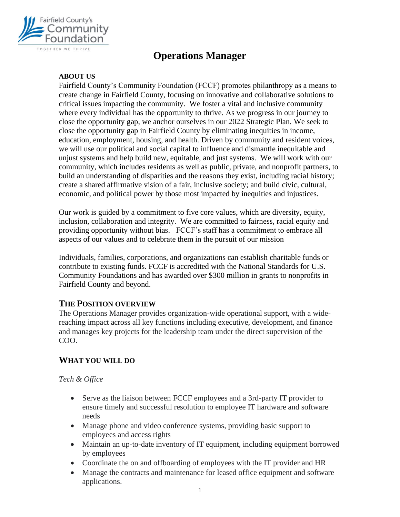

# **Operations Manager**

#### **ABOUT US**

Fairfield County's Community Foundation (FCCF) promotes philanthropy as a means to create change in Fairfield County, focusing on innovative and collaborative solutions to critical issues impacting the community. We foster a vital and inclusive community where every individual has the opportunity to thrive. As we progress in our journey to close the opportunity gap, we anchor ourselves in our 2022 Strategic Plan. We seek to close the opportunity gap in Fairfield County by eliminating inequities in income, education, employment, housing, and health. Driven by community and resident voices, we will use our political and social capital to influence and dismantle inequitable and unjust systems and help build new, equitable, and just systems. We will work with our community, which includes residents as well as public, private, and nonprofit partners, to build an understanding of disparities and the reasons they exist, including racial history; create a shared affirmative vision of a fair, inclusive society; and build civic, cultural, economic, and political power by those most impacted by inequities and injustices.

Our work is guided by a commitment to five core values, which are diversity, equity, inclusion, collaboration and integrity. We are committed to fairness, racial equity and providing opportunity without bias. FCCF's staff has a commitment to embrace all aspects of our values and to celebrate them in the pursuit of our mission

Individuals, families, corporations, and organizations can establish charitable funds or contribute to existing funds. FCCF is accredited with the National Standards for U.S. Community Foundations and has awarded over \$300 million in grants to nonprofits in Fairfield County and beyond.

#### **THE POSITION OVERVIEW**

The Operations Manager provides organization-wide operational support, with a widereaching impact across all key functions including executive, development, and finance and manages key projects for the leadership team under the direct supervision of the COO.

### **WHAT YOU WILL DO**

#### *Tech & Office*

- Serve as the liaison between FCCF employees and a 3rd-party IT provider to ensure timely and successful resolution to employee IT hardware and software needs
- Manage phone and video conference systems, providing basic support to employees and access rights
- Maintain an up-to-date inventory of IT equipment, including equipment borrowed by employees
- Coordinate the on and offboarding of employees with the IT provider and HR
- Manage the contracts and maintenance for leased office equipment and software applications.